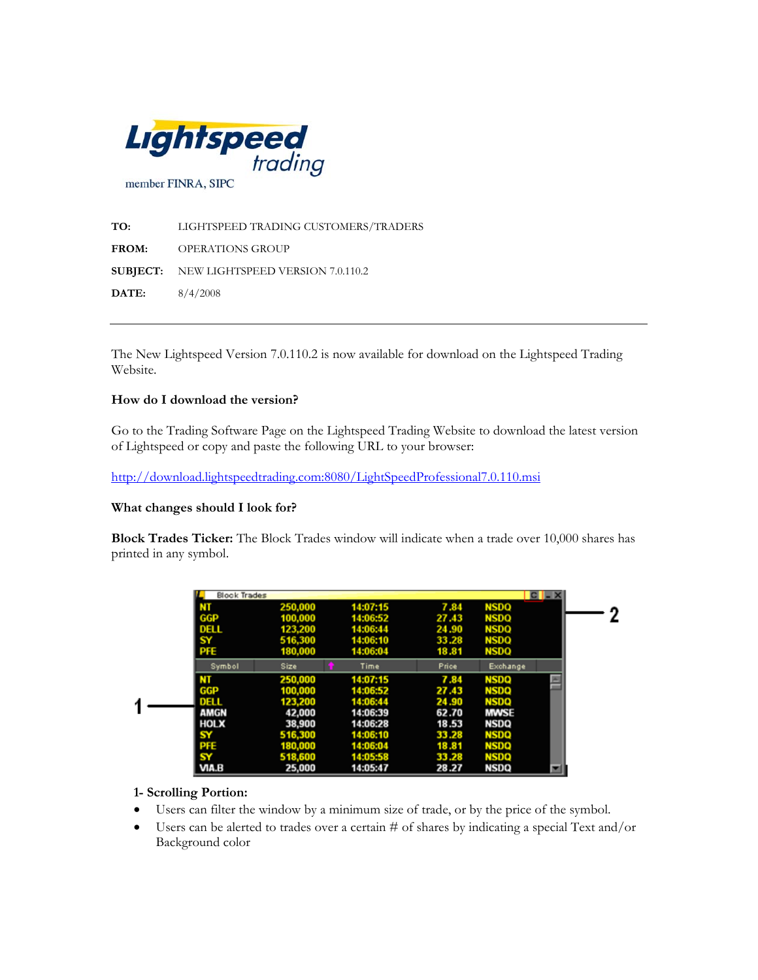

**TO:** LIGHTSPEED TRADING CUSTOMERS/TRADERS **FROM:** OPERATIONS GROUP **SUBJECT:** NEW LIGHTSPEED VERSION 7.0.110.2 **DATE:** 8/4/2008

The New Lightspeed Version 7.0.110.2 is now available for download on the Lightspeed Trading Website.

#### **How do I download the version?**

Go to the Trading Software Page on the Lightspeed Trading Website to download the latest version of Lightspeed or copy and paste the following URL to your browser:

<http://download.lightspeedtrading.com:8080/LightSpeedProfessional7.0.110.msi>

#### **What changes should I look for?**

**Block Trades Ticker:** The Block Trades window will indicate when a trade over 10,000 shares has printed in any symbol.

|   | <b>Block Trades</b> |         |          |       | <b>GH</b>   |  |
|---|---------------------|---------|----------|-------|-------------|--|
|   | NT                  | 250,000 | 14:07:15 | 7.84  | NSDO        |  |
|   | GGP                 | 100.000 | 14:06:52 | 27.43 | <b>NSDQ</b> |  |
|   | DELL                | 123.200 | 14:06:44 | 24.90 | <b>NSDQ</b> |  |
|   | SY                  | 516,300 | 14:06:10 | 33.28 | <b>NSDQ</b> |  |
|   | PFE.                | 180,000 | 14:06:04 | 18.81 | <b>NSDQ</b> |  |
|   | Symbol              | Size    | Time     | Price | Exchange    |  |
|   |                     | 250,000 | 14:07:15 | 7.84  | <b>NSDQ</b> |  |
|   | GGP                 | 100.000 | 14:06:52 | 27.43 | <b>NSDQ</b> |  |
| ٩ | DELL                | 123,200 | 14:06:44 | 24.90 | <b>NSDQ</b> |  |
|   | <b>AMGN</b>         | 42,000  | 14:06:39 | 62.70 | <b>MWSE</b> |  |
|   | <b>HOLX</b>         | 38,900  | 14:06:28 | 18.53 | NSDQ        |  |
|   | SΥ                  | 516.300 | 14:06:10 | 33.28 | <b>NSDQ</b> |  |
|   | PFE                 | 180.000 | 14:06:04 | 18.81 | <b>NSDQ</b> |  |
|   | SY                  | 518.600 | 14:05:58 | 33.28 | <b>NSDQ</b> |  |
|   | VIA.B               | 25,000  | 14:05:47 | 28.27 | NSDQ        |  |

## **1- Scrolling Portion:**

- Users can filter the window by a minimum size of trade, or by the price of the symbol.
- Users can be alerted to trades over a certain # of shares by indicating a special Text and/or Background color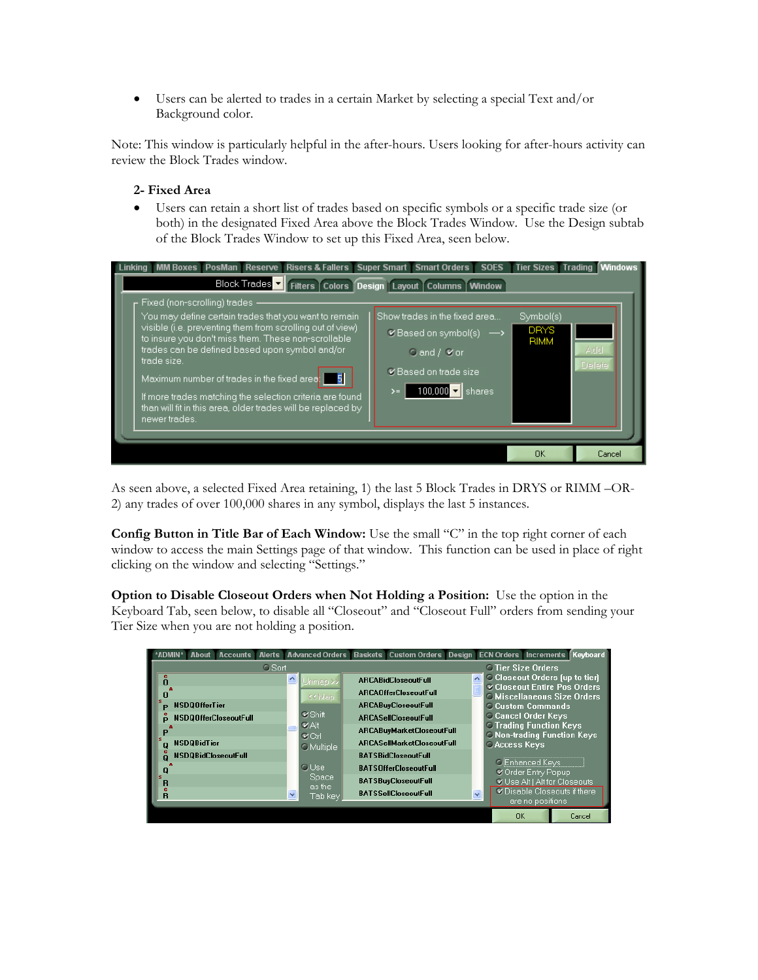• Users can be alerted to trades in a certain Market by selecting a special Text and/or Background color.

Note: This window is particularly helpful in the after-hours. Users looking for after-hours activity can review the Block Trades window.

# **2- Fixed Area**

• Users can retain a short list of trades based on specific symbols or a specific trade size (or both) in the designated Fixed Area above the Block Trades Window. Use the Design subtab of the Block Trades Window to set up this Fixed Area, seen below.

| MM Boxes PosMan Reserve Risers & Fallers Super Smart Smart Orders<br>Linking<br>Block Trades v Filters Colors Design Layout Columns Window                                                                                                                                                                                                                                                                                                                                                                                                                                                                                                                                                                             | <b>SOES</b> | <b>Tier Sizes Trading</b> | <b>Windows</b> |  |  |  |  |  |  |
|------------------------------------------------------------------------------------------------------------------------------------------------------------------------------------------------------------------------------------------------------------------------------------------------------------------------------------------------------------------------------------------------------------------------------------------------------------------------------------------------------------------------------------------------------------------------------------------------------------------------------------------------------------------------------------------------------------------------|-------------|---------------------------|----------------|--|--|--|--|--|--|
| Fixed (non-scrolling) trades<br>You may define certain trades that you want to remain<br>Show trades in the fixed area<br>Symbol(s)<br>visible (i.e. preventing them from scrolling out of view)<br><b>DRYS</b><br>$\blacktriangleright$ Based on symbol(s) $\longrightarrow$<br>to insure you don't miss them. These non-scrollable<br><b>RIMM</b><br>trades can be defined based upon symbol and/or<br>Add<br>Cand / Vor<br>trade size.<br>Delete<br>Eased on trade size<br>Maximum number of trades in the fixed area:<br>100,000 $\mathbf{v}$ shares<br>$\rightarrow$<br>If more trades matching the selection criteria are found<br>than will fit in this area, older trades will be replaced by<br>newer trades. |             |                           |                |  |  |  |  |  |  |
|                                                                                                                                                                                                                                                                                                                                                                                                                                                                                                                                                                                                                                                                                                                        |             | <b>OK</b>                 | Cancel         |  |  |  |  |  |  |

As seen above, a selected Fixed Area retaining, 1) the last 5 Block Trades in DRYS or RIMM –OR-2) any trades of over 100,000 shares in any symbol, displays the last 5 instances.

Config Button in Title Bar of Each Window: Use the small "C" in the top right corner of each window to access the main Settings page of that window. This function can be used in place of right clicking on the window and selecting "Settings."

**Option to Disable Closeout Orders when Not Holding a Position:** Use the option in the Keyboard Tab, seen below, to disable all "Closeout" and "Closeout Full" orders from sending your Tier Size when you are not holding a position.

| <b>Accounts</b><br>About     |                              |                                                   |                                  | Alerts Advanced Orders Baskets Custom Orders Design ECN Orders Increments |  |                                                                              |                                                                             | Keyboard |  |  |  |
|------------------------------|------------------------------|---------------------------------------------------|----------------------------------|---------------------------------------------------------------------------|--|------------------------------------------------------------------------------|-----------------------------------------------------------------------------|----------|--|--|--|
|                              | <b>O</b> Sort                |                                                   | <b>O</b> Tier Size Orders        |                                                                           |  |                                                                              |                                                                             |          |  |  |  |
| n                            | $\blacktriangle$<br>Unmap >> | <b>ABCABidCloseoutFull</b>                        |                                  |                                                                           |  | <b>Confidence</b> Closeout Orders (up to tier)<br>Closeout Entire Pos Orders |                                                                             |          |  |  |  |
|                              |                              |                                                   |                                  | <b>ARCAOfferCloseoutFull</b>                                              |  |                                                                              | <b>C</b> Miscellaneous Size Orders                                          |          |  |  |  |
| <b>NSDQOfferTier</b>         |                              |                                                   |                                  | <b>ARCABuyCloseoutFull</b>                                                |  |                                                                              | <b>C.Custom Commands</b>                                                    |          |  |  |  |
| <b>NSDQOfferCloseoutFull</b> |                              | <b></b> ≤ Shift                                   |                                  | <b>ARCASellCloseoutFull</b>                                               |  |                                                                              | <b>Cancel Order Keys</b>                                                    |          |  |  |  |
| <b>NSDQBidTier</b>           |                              | <b>VAIt</b><br><b>V</b> Ctrl<br><b>O</b> Multiple | <b>ARCABuyMarketCloseoutFull</b> |                                                                           |  |                                                                              | <b>C Trading Function Keys</b><br><b>C Non-trading Function Keys</b>        |          |  |  |  |
|                              |                              |                                                   |                                  | <b>ARCASellMarketCloseoutFull</b>                                         |  |                                                                              | <b>CAccess Keys</b>                                                         |          |  |  |  |
| <b>NSDQBidCloseoutFull</b>   |                              |                                                   |                                  | <b>RATSBidCloseoutFull</b>                                                |  |                                                                              |                                                                             |          |  |  |  |
| R                            |                              | <b>C</b> Use<br>Space                             |                                  | <b>BATSOfferCloseoutFull</b>                                              |  |                                                                              | <b>O</b> Enhanced Keys<br>Corder Entry Popup<br>Use Alt   Alt for Closeouts |          |  |  |  |
|                              |                              |                                                   |                                  | <b>BATSBuvCloseoutFull</b>                                                |  |                                                                              |                                                                             |          |  |  |  |
| $\overline{R}$               | v                            | as the<br>Tab key                                 |                                  | <b>BATSSellCloseoutFull</b>                                               |  | C Disable Closeouts if there<br>$\ddot{\phantom{0}}$                         |                                                                             |          |  |  |  |
|                              |                              |                                                   |                                  |                                                                           |  |                                                                              | are no positions                                                            |          |  |  |  |
|                              |                              |                                                   |                                  |                                                                           |  | OK                                                                           |                                                                             | Cancel   |  |  |  |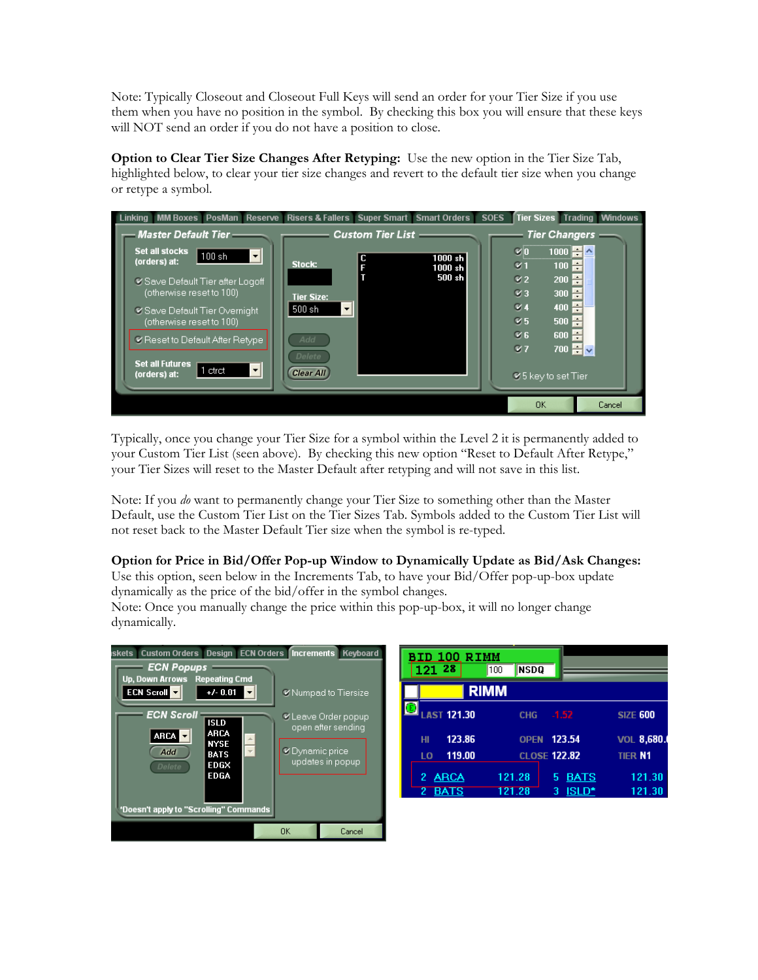Note: Typically Closeout and Closeout Full Keys will send an order for your Tier Size if you use them when you have no position in the symbol. By checking this box you will ensure that these keys will NOT send an order if you do not have a position to close.

**Option to Clear Tier Size Changes After Retyping:** Use the new option in the Tier Size Tab, highlighted below, to clear your tier size changes and revert to the default tier size when you change or retype a symbol.

| Linking MM Boxes PosMan Reserve Risers & Fallers Super Smart Smart Orders |                            |                                            | <b>SOES</b> | <b>Tier Sizes Trading Windows</b>                          |        |
|---------------------------------------------------------------------------|----------------------------|--------------------------------------------|-------------|------------------------------------------------------------|--------|
| Master Default Tier ——                                                    |                            | <b>Custom Tier List - Custom Tier List</b> |             | Tier Changers —                                            |        |
| <b>Set all stocks</b><br>$\vert \cdot \vert$<br>100sh<br>(orders) at:     | Stock:                     | 1000 sh<br>1000 sh                         |             | $1000 - 4$<br>÷<br>100<br>$\sigma$                         |        |
| ■ Save Default Tier after Logoff<br>(otherwise reset to 100)              | <b>Tier Size:</b>          | 500 sh                                     |             | ÷<br>V2<br>200<br>$\mathcal{C}$ 3<br>H÷<br>300             |        |
| <b>Ø Save Default Tier Overnight</b><br>(otherwise reset to 100)          | 500 sh                     |                                            |             | H<br>$\mathcal{Q}$ 4<br>400<br>$\mathcal{C}$ 5<br>H<br>500 |        |
| Reset to Default After Retype                                             | Add                        |                                            |             | ÷<br>$\times 6$<br>600<br>$700 - \sqrt{2}$<br>$Q$ 7        |        |
| <b>Set all Futures</b><br>$\vert \cdot \vert$<br>1 ctrct<br>(orders) at:  | Delete<br><b>Clear All</b> |                                            |             | $\leq 5$ key to set Tier                                   |        |
|                                                                           |                            |                                            |             | 0K                                                         | Cancel |

Typically, once you change your Tier Size for a symbol within the Level 2 it is permanently added to your Custom Tier List (seen above). By checking this new option "Reset to Default After Retype," your Tier Sizes will reset to the Master Default after retyping and will not save in this list.

Note: If you *do* want to permanently change your Tier Size to something other than the Master Default, use the Custom Tier List on the Tier Sizes Tab. Symbols added to the Custom Tier List will not reset back to the Master Default Tier size when the symbol is re-typed.

## **Option for Price in Bid/Offer Pop-up Window to Dynamically Update as Bid/Ask Changes:**

Use this option, seen below in the Increments Tab, to have your Bid/Offer pop-up-box update dynamically as the price of the bid/offer in the symbol changes.

Note: Once you manually change the price within this pop-up-box, it will no longer change dynamically.



| BID 100 RIMM       |                    |                     |                 |  |  |  |  |  |
|--------------------|--------------------|---------------------|-----------------|--|--|--|--|--|
| 121 28             | <b>NSDQ</b><br>100 |                     |                 |  |  |  |  |  |
|                    | <b>RIMM</b>        |                     |                 |  |  |  |  |  |
| <b>LAST 121.30</b> | <b>CHG</b>         | $-1.52$             | <b>SIZE 600</b> |  |  |  |  |  |
| 123.86<br>HI       | <b>OPFN</b>        | 123.54              | VOL 8,680.      |  |  |  |  |  |
| 119.00<br>LO       |                    | <b>CLOSE 122.82</b> | <b>TIER N1</b>  |  |  |  |  |  |
| <b>ARCA</b><br>2   | 121.28             | <b>BATS</b><br>5    | 121.30          |  |  |  |  |  |
| <b>BATS</b>        | 121.28             | <b>ISLD*</b><br>3   | 121.30          |  |  |  |  |  |